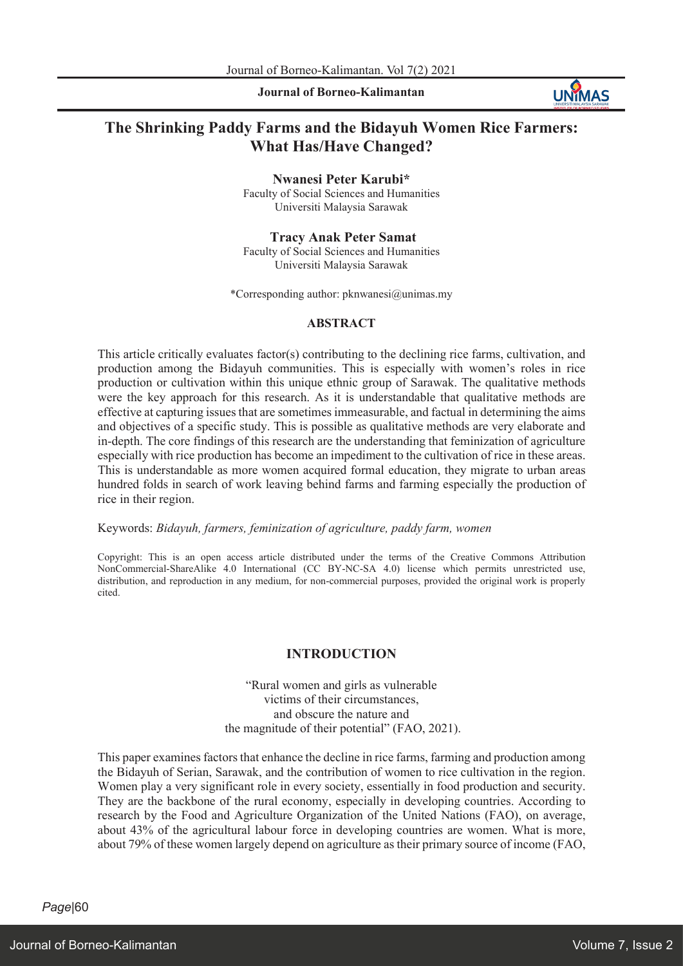**Journal of Borneo-Kalimantan**



# **The Shrinking Paddy Farms and the Bidayuh Women Rice Farmers: What Has/Have Changed?**

**Nwanesi Peter Karubi\***

Faculty of Social Sciences and Humanities Universiti Malaysia Sarawak

## **Tracy Anak Peter Samat**

Faculty of Social Sciences and Humanities Universiti Malaysia Sarawak

\*Corresponding author: pknwanesi@unimas.my

## **ABSTRACT**

This article critically evaluates factor(s) contributing to the declining rice farms, cultivation, and production among the Bidayuh communities. This is especially with women's roles in rice production or cultivation within this unique ethnic group of Sarawak. The qualitative methods were the key approach for this research. As it is understandable that qualitative methods are effective at capturing issuesthat are sometimes immeasurable, and factual in determining the aims and objectives of a specific study. This is possible as qualitative methods are very elaborate and in-depth. The core findings of this research are the understanding that feminization of agriculture especially with rice production has become an impediment to the cultivation of rice in these areas. This is understandable as more women acquired formal education, they migrate to urban areas hundred folds in search of work leaving behind farms and farming especially the production of rice in their region.

## Keywords: *Bidayuh, farmers, feminization of agriculture, paddy farm, women*

Copyright: This is an open access article distributed under the terms of the Creative Commons Attribution NonCommercial-ShareAlike 4.0 International (CC BY-NC-SA 4.0) license which permits unrestricted use, distribution, and reproduction in any medium, for non-commercial purposes, provided the original work is properly cited.

# **INTRODUCTION**

"Rural women and girls as vulnerable victims of their circumstances, and obscure the nature and the magnitude of their potential" (FAO, 2021).

This paper examines factors that enhance the decline in rice farms, farming and production among the Bidayuh of Serian, Sarawak, and the contribution of women to rice cultivation in the region. Women play a very significant role in every society, essentially in food production and security. They are the backbone of the rural economy, especially in developing countries. According to research by the Food and Agriculture Organization of the United Nations (FAO), on average, about 43% of the agricultural labour force in developing countries are women. What is more, about 79% of these women largely depend on agriculture as their primary source of income (FAO,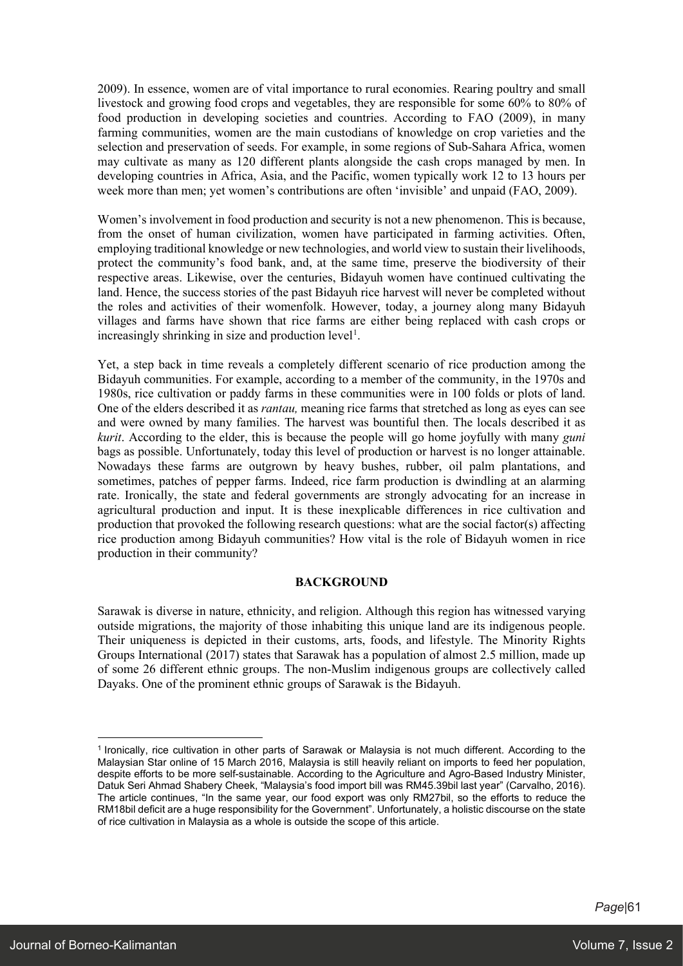2009). In essence, women are of vital importance to rural economies. Rearing poultry and small livestock and growing food crops and vegetables, they are responsible for some 60% to 80% of food production in developing societies and countries. According to FAO (2009), in many farming communities, women are the main custodians of knowledge on crop varieties and the selection and preservation of seeds. For example, in some regions of Sub-Sahara Africa, women may cultivate as many as 120 different plants alongside the cash crops managed by men. In developing countries in Africa, Asia, and the Pacific, women typically work 12 to 13 hours per week more than men; yet women's contributions are often 'invisible' and unpaid (FAO, 2009).

Women's involvement in food production and security is not a new phenomenon. This is because, from the onset of human civilization, women have participated in farming activities. Often, employing traditional knowledge or new technologies, and world view to sustain their livelihoods, protect the community's food bank, and, at the same time, preserve the biodiversity of their respective areas. Likewise, over the centuries, Bidayuh women have continued cultivating the land. Hence, the success stories of the past Bidayuh rice harvest will never be completed without the roles and activities of their womenfolk. However, today, a journey along many Bidayuh villages and farms have shown that rice farms are either being replaced with cash crops or increasingly shrinking in size and production level<sup>1</sup>.

Yet, a step back in time reveals a completely different scenario of rice production among the Bidayuh communities. For example, according to a member of the community, in the 1970s and 1980s, rice cultivation or paddy farms in these communities were in 100 folds or plots of land. One of the elders described it as *rantau,* meaning rice farms that stretched as long as eyes can see and were owned by many families. The harvest was bountiful then. The locals described it as *kurit*. According to the elder, this is because the people will go home joyfully with many *guni* bags as possible. Unfortunately, today this level of production or harvest is no longer attainable. Nowadays these farms are outgrown by heavy bushes, rubber, oil palm plantations, and sometimes, patches of pepper farms. Indeed, rice farm production is dwindling at an alarming rate. Ironically, the state and federal governments are strongly advocating for an increase in agricultural production and input. It is these inexplicable differences in rice cultivation and production that provoked the following research questions: what are the social factor(s) affecting rice production among Bidayuh communities? How vital is the role of Bidayuh women in rice production in their community?

# **BACKGROUND**

Sarawak is diverse in nature, ethnicity, and religion. Although this region has witnessed varying outside migrations, the majority of those inhabiting this unique land are its indigenous people. Their uniqueness is depicted in their customs, arts, foods, and lifestyle. The Minority Rights Groups International (2017) states that Sarawak has a population of almost 2.5 million, made up of some 26 different ethnic groups. The non-Muslim indigenous groups are collectively called Dayaks. One of the prominent ethnic groups of Sarawak is the Bidayuh.

<sup>1</sup> Ironically, rice cultivation in other parts of Sarawak or Malaysia is not much different. According to the Malaysian Star online of 15 March 2016, Malaysia is still heavily reliant on imports to feed her population, despite efforts to be more self-sustainable. According to the Agriculture and Agro-Based Industry Minister, Datuk Seri Ahmad Shabery Cheek, "Malaysia's food import bill was RM45.39bil last year" (Carvalho, 2016). The article continues, "In the same year, our food export was only RM27bil, so the efforts to reduce the RM18bil deficit are a huge responsibility for the Government". Unfortunately, a holistic discourse on the state of rice cultivation in Malaysia as a whole is outside the scope of this article.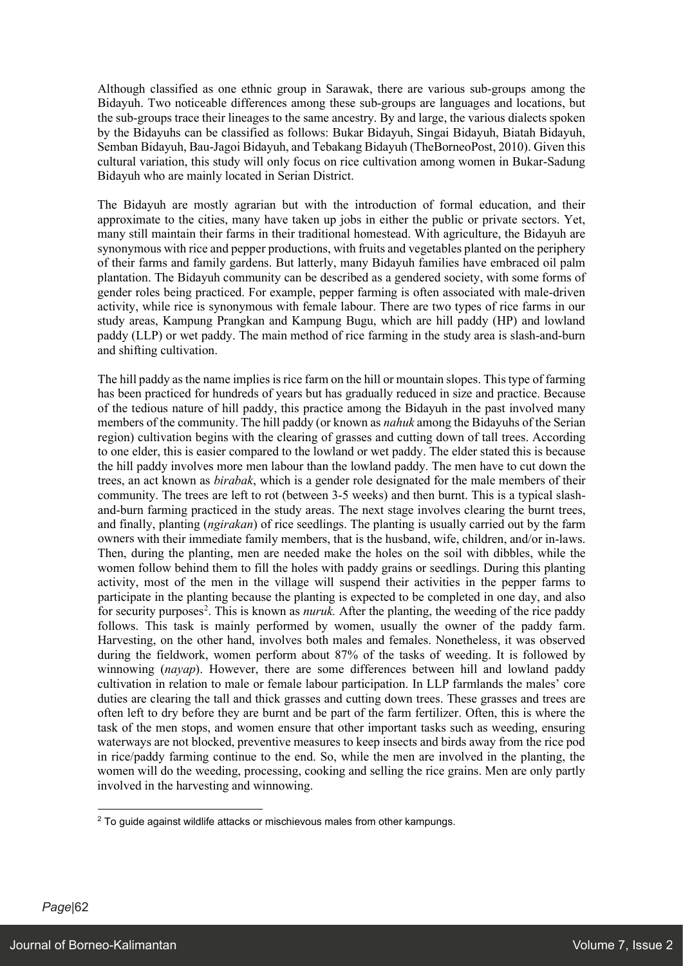Although classified as one ethnic group in Sarawak, there are various sub-groups among the Bidayuh. Two noticeable differences among these sub-groups are languages and locations, but the sub-groups trace their lineages to the same ancestry. By and large, the various dialects spoken by the Bidayuhs can be classified as follows: Bukar Bidayuh, Singai Bidayuh, Biatah Bidayuh, Semban Bidayuh, Bau-Jagoi Bidayuh, and Tebakang Bidayuh (TheBorneoPost, 2010). Given this cultural variation, this study will only focus on rice cultivation among women in Bukar-Sadung Bidayuh who are mainly located in Serian District.

The Bidayuh are mostly agrarian but with the introduction of formal education, and their approximate to the cities, many have taken up jobs in either the public or private sectors. Yet, many still maintain their farms in their traditional homestead. With agriculture, the Bidayuh are synonymous with rice and pepper productions, with fruits and vegetables planted on the periphery of their farms and family gardens. But latterly, many Bidayuh families have embraced oil palm plantation. The Bidayuh community can be described as a gendered society, with some forms of gender roles being practiced. For example, pepper farming is often associated with male-driven activity, while rice is synonymous with female labour. There are two types of rice farms in our study areas, Kampung Prangkan and Kampung Bugu, which are hill paddy (HP) and lowland paddy (LLP) or wet paddy. The main method of rice farming in the study area is slash-and-burn and shifting cultivation.

The hill paddy as the name implies is rice farm on the hill or mountain slopes. This type of farming has been practiced for hundreds of years but has gradually reduced in size and practice. Because of the tedious nature of hill paddy, this practice among the Bidayuh in the past involved many members of the community. The hill paddy (or known as *nahuk* among the Bidayuhs of the Serian region) cultivation begins with the clearing of grasses and cutting down of tall trees. According to one elder, this is easier compared to the lowland or wet paddy. The elder stated this is because the hill paddy involves more men labour than the lowland paddy. The men have to cut down the trees, an act known as *birabak*, which is a gender role designated for the male members of their community. The trees are left to rot (between 3-5 weeks) and then burnt. This is a typical slashand-burn farming practiced in the study areas. The next stage involves clearing the burnt trees, and finally, planting (*ngirakan*) of rice seedlings. The planting is usually carried out by the farm owners with their immediate family members, that is the husband, wife, children, and/or in-laws. Then, during the planting, men are needed make the holes on the soil with dibbles, while the women follow behind them to fill the holes with paddy grains or seedlings. During this planting activity, most of the men in the village will suspend their activities in the pepper farms to participate in the planting because the planting is expected to be completed in one day, and also for security purposes<sup>2</sup>. This is known as *nuruk*. After the planting, the weeding of the rice paddy follows. This task is mainly performed by women, usually the owner of the paddy farm. Harvesting, on the other hand, involves both males and females. Nonetheless, it was observed during the fieldwork, women perform about 87% of the tasks of weeding. It is followed by winnowing (*nayap*). However, there are some differences between hill and lowland paddy cultivation in relation to male or female labour participation. In LLP farmlands the males' core duties are clearing the tall and thick grasses and cutting down trees. These grasses and trees are often left to dry before they are burnt and be part of the farm fertilizer. Often, this is where the task of the men stops, and women ensure that other important tasks such as weeding, ensuring waterways are not blocked, preventive measures to keep insects and birds away from the rice pod in rice/paddy farming continue to the end. So, while the men are involved in the planting, the women will do the weeding, processing, cooking and selling the rice grains. Men are only partly involved in the harvesting and winnowing.

 $2$  To guide against wildlife attacks or mischievous males from other kampungs.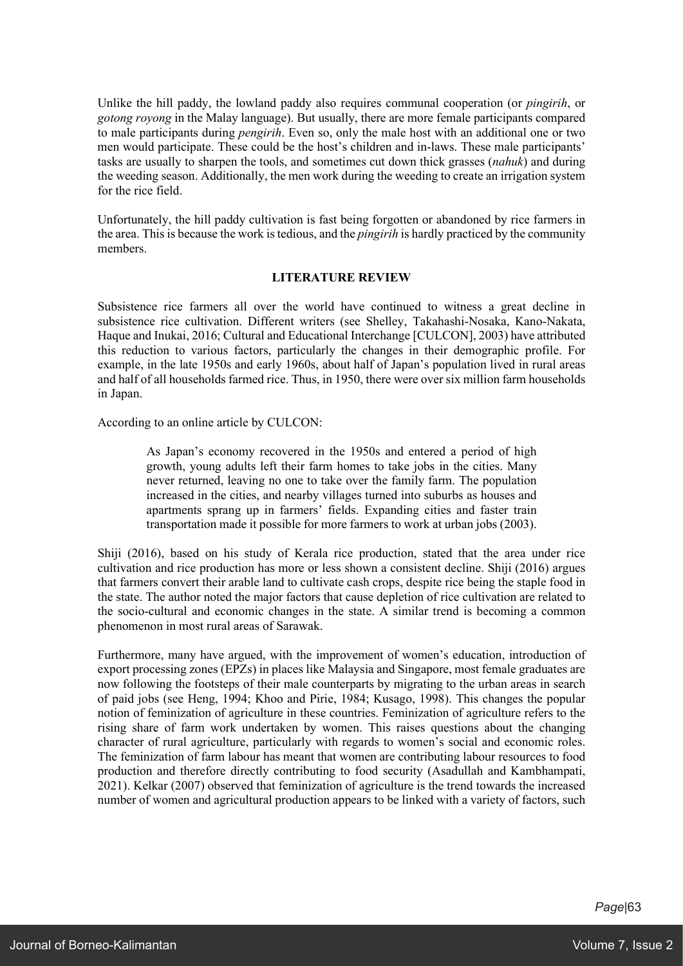Unlike the hill paddy, the lowland paddy also requires communal cooperation (or *pingirih*, or *gotong royong* in the Malay language). But usually, there are more female participants compared to male participants during *pengirih*. Even so, only the male host with an additional one or two men would participate. These could be the host's children and in-laws. These male participants' tasks are usually to sharpen the tools, and sometimes cut down thick grasses (*nahuk*) and during the weeding season. Additionally, the men work during the weeding to create an irrigation system for the rice field.

Unfortunately, the hill paddy cultivation is fast being forgotten or abandoned by rice farmers in the area. Thisis because the work istedious, and the *pingirih* is hardly practiced by the community members.

## **LITERATURE REVIEW**

Subsistence rice farmers all over the world have continued to witness a great decline in subsistence rice cultivation. Different writers (see Shelley, Takahashi-Nosaka, Kano-Nakata, Haque and Inukai, 2016; Cultural and Educational Interchange [CULCON], 2003) have attributed this reduction to various factors, particularly the changes in their demographic profile. For example, in the late 1950s and early 1960s, about half of Japan's population lived in rural areas and half of all households farmed rice. Thus, in 1950, there were over six million farm households in Japan.

According to an online article by CULCON:

As Japan's economy recovered in the 1950s and entered a period of high growth, young adults left their farm homes to take jobs in the cities. Many never returned, leaving no one to take over the family farm. The population increased in the cities, and nearby villages turned into suburbs as houses and apartments sprang up in farmers' fields. Expanding cities and faster train transportation made it possible for more farmers to work at urban jobs (2003).

Shiji (2016), based on his study of Kerala rice production, stated that the area under rice cultivation and rice production has more or less shown a consistent decline. Shiji (2016) argues that farmers convert their arable land to cultivate cash crops, despite rice being the staple food in the state. The author noted the major factors that cause depletion of rice cultivation are related to the socio-cultural and economic changes in the state. A similar trend is becoming a common phenomenon in most rural areas of Sarawak.

Furthermore, many have argued, with the improvement of women's education, introduction of export processing zones (EPZs) in places like Malaysia and Singapore, most female graduates are now following the footsteps of their male counterparts by migrating to the urban areas in search of paid jobs (see Heng, 1994; Khoo and Pirie, 1984; Kusago, 1998). This changes the popular notion of feminization of agriculture in these countries. Feminization of agriculture refers to the rising share of farm work undertaken by women. This raises questions about the changing character of rural agriculture, particularly with regards to women's social and economic roles. The feminization of farm labour has meant that women are contributing labour resources to food production and therefore directly contributing to food security (Asadullah and Kambhampati, 2021). Kelkar (2007) observed that feminization of agriculture is the trend towards the increased number of women and agricultural production appears to be linked with a variety of factors, such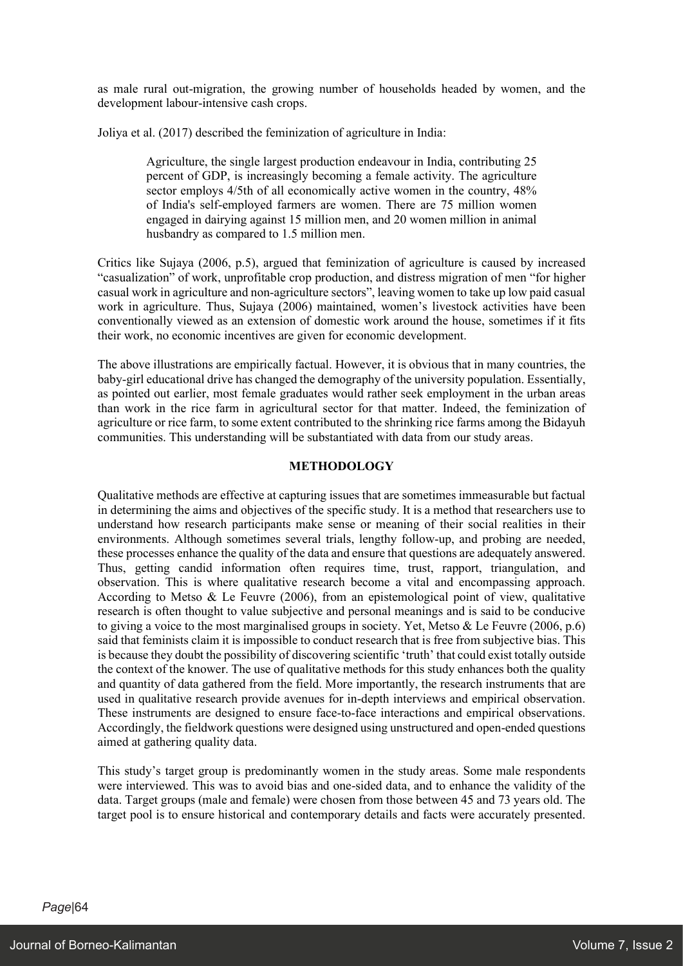as male rural out-migration, the growing number of households headed by women, and the development labour-intensive cash crops.

Joliya et al. (2017) described the feminization of agriculture in India:

Agriculture, the single largest production endeavour in India, contributing 25 percent of GDP, is increasingly becoming a female activity. The agriculture sector employs 4/5th of all economically active women in the country, 48% of India's self-employed farmers are women. There are 75 million women engaged in dairying against 15 million men, and 20 women million in animal husbandry as compared to 1.5 million men.

Critics like Sujaya (2006, p.5), argued that feminization of agriculture is caused by increased "casualization" of work, unprofitable crop production, and distress migration of men "for higher casual work in agriculture and non-agriculture sectors", leaving women to take up low paid casual work in agriculture. Thus, Sujaya (2006) maintained, women's livestock activities have been conventionally viewed as an extension of domestic work around the house, sometimes if it fits their work, no economic incentives are given for economic development.

The above illustrations are empirically factual. However, it is obvious that in many countries, the baby-girl educational drive has changed the demography of the university population. Essentially, as pointed out earlier, most female graduates would rather seek employment in the urban areas than work in the rice farm in agricultural sector for that matter. Indeed, the feminization of agriculture or rice farm, to some extent contributed to the shrinking rice farms among the Bidayuh communities. This understanding will be substantiated with data from our study areas.

## **METHODOLOGY**

Qualitative methods are effective at capturing issues that are sometimes immeasurable but factual in determining the aims and objectives of the specific study. It is a method that researchers use to understand how research participants make sense or meaning of their social realities in their environments. Although sometimes several trials, lengthy follow-up, and probing are needed, these processes enhance the quality of the data and ensure that questions are adequately answered. Thus, getting candid information often requires time, trust, rapport, triangulation, and observation. This is where qualitative research become a vital and encompassing approach. According to Metso & Le Feuvre (2006), from an epistemological point of view, qualitative research is often thought to value subjective and personal meanings and is said to be conducive to giving a voice to the most marginalised groups in society. Yet, Metso & Le Feuvre (2006, p.6) said that feminists claim it is impossible to conduct research that is free from subjective bias. This is because they doubt the possibility of discovering scientific 'truth' that could exist totally outside the context of the knower. The use of qualitative methods for this study enhances both the quality and quantity of data gathered from the field. More importantly, the research instruments that are used in qualitative research provide avenues for in-depth interviews and empirical observation. These instruments are designed to ensure face-to-face interactions and empirical observations. Accordingly, the fieldwork questions were designed using unstructured and open-ended questions aimed at gathering quality data.

This study's target group is predominantly women in the study areas. Some male respondents were interviewed. This was to avoid bias and one-sided data, and to enhance the validity of the data. Target groups (male and female) were chosen from those between 45 and 73 years old. The target pool is to ensure historical and contemporary details and facts were accurately presented.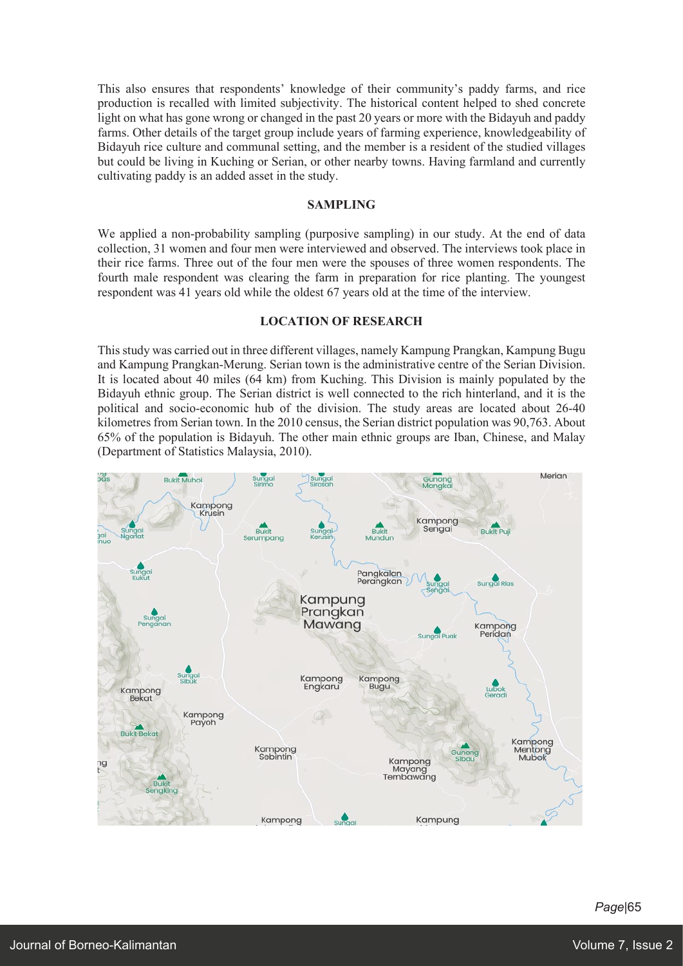This also ensures that respondents' knowledge of their community's paddy farms, and rice production is recalled with limited subjectivity. The historical content helped to shed concrete light on what has gone wrong or changed in the past 20 years or more with the Bidayuh and paddy farms. Other details of the target group include years of farming experience, knowledgeability of Bidayuh rice culture and communal setting, and the member is a resident of the studied villages but could be living in Kuching or Serian, or other nearby towns. Having farmland and currently cultivating paddy is an added asset in the study.

#### **SAMPLING**

We applied a non-probability sampling (purposive sampling) in our study. At the end of data collection, 31 women and four men were interviewed and observed. The interviews took place in their rice farms. Three out of the four men were the spouses of three women respondents. The fourth male respondent was clearing the farm in preparation for rice planting. The youngest respondent was 41 years old while the oldest 67 years old at the time of the interview.

## **LOCATION OF RESEARCH**

Thisstudy was carried out in three different villages, namely Kampung Prangkan, Kampung Bugu and Kampung Prangkan-Merung. Serian town is the administrative centre of the Serian Division. It is located about 40 miles (64 km) from Kuching. This Division is mainly populated by the Bidayuh ethnic group. The Serian district is well connected to the rich hinterland, and it is the political and socio-economic hub of the division. The study areas are located about 26-40 kilometres from Serian town. In the 2010 census, the Serian district population was 90,763. About 65% of the population is Bidayuh. The other main ethnic groups are Iban, Chinese, and Malay (Department of Statistics Malaysia, 2010).

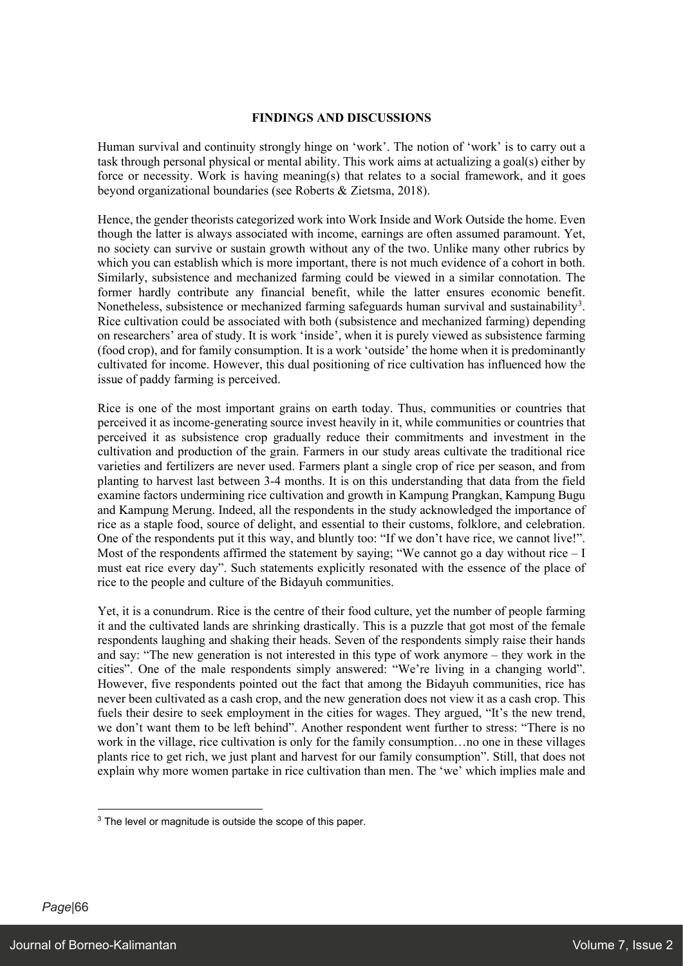## **FINDINGS AND DISCUSSIONS**

Human survival and continuity strongly hinge on 'work'. The notion of 'work' is to carry out a task through personal physical or mental ability. This work aims at actualizing a goal(s) either by force or necessity. Work is having meaning(s) that relates to a social framework, and it goes beyond organizational boundaries (see Roberts & Zietsma, 2018).

Hence, the gender theorists categorized work into Work Inside and Work Outside the home. Even though the latter is always associated with income, earnings are often assumed paramount. Yet, no society can survive or sustain growth without any of the two. Unlike many other rubrics by which you can establish which is more important, there is not much evidence of a cohort in both. Similarly, subsistence and mechanized farming could be viewed in a similar connotation. The former hardly contribute any financial benefit, while the latter ensures economic benefit. Nonetheless, subsistence or mechanized farming safeguards human survival and sustainability<sup>3</sup>. Rice cultivation could be associated with both (subsistence and mechanized farming) depending on researchers' area of study. It is work 'inside', when it is purely viewed as subsistence farming (food crop), and for family consumption. It is a work 'outside' the home when it is predominantly cultivated for income. However, this dual positioning of rice cultivation has influenced how the issue of paddy farming is perceived.

Rice is one of the most important grains on earth today. Thus, communities or countries that perceived it as income-generating source invest heavily in it, while communities or countries that perceived it as subsistence crop gradually reduce their commitments and investment in the cultivation and production of the grain. Farmers in our study areas cultivate the traditional rice varieties and fertilizers are never used. Farmers plant a single crop of rice per season, and from planting to harvest last between 3-4 months. It is on this understanding that data from the field examine factors undermining rice cultivation and growth in Kampung Prangkan, Kampung Bugu and Kampung Merung. Indeed, all the respondents in the study acknowledged the importance of rice as a staple food, source of delight, and essential to their customs, folklore, and celebration. One of the respondents put it this way, and bluntly too: "If we don't have rice, we cannot live!". Most of the respondents affirmed the statement by saying; "We cannot go a day without rice – I must eat rice every day". Such statements explicitly resonated with the essence of the place of rice to the people and culture of the Bidayuh communities.

Yet, it is a conundrum. Rice is the centre of their food culture, yet the number of people farming it and the cultivated lands are shrinking drastically. This is a puzzle that got most of the female respondents laughing and shaking their heads. Seven of the respondents simply raise their hands and say: "The new generation is not interested in this type of work anymore – they work in the cities". One of the male respondents simply answered: "We're living in a changing world". However, five respondents pointed out the fact that among the Bidayuh communities, rice has never been cultivated as a cash crop, and the new generation does not view it as a cash crop. This fuels their desire to seek employment in the cities for wages. They argued, "It's the new trend, we don't want them to be left behind". Another respondent went further to stress: "There is no work in the village, rice cultivation is only for the family consumption…no one in these villages plants rice to get rich, we just plant and harvest for our family consumption". Still, that does not explain why more women partake in rice cultivation than men. The 'we' which implies male and

<sup>&</sup>lt;sup>3</sup> The level or magnitude is outside the scope of this paper.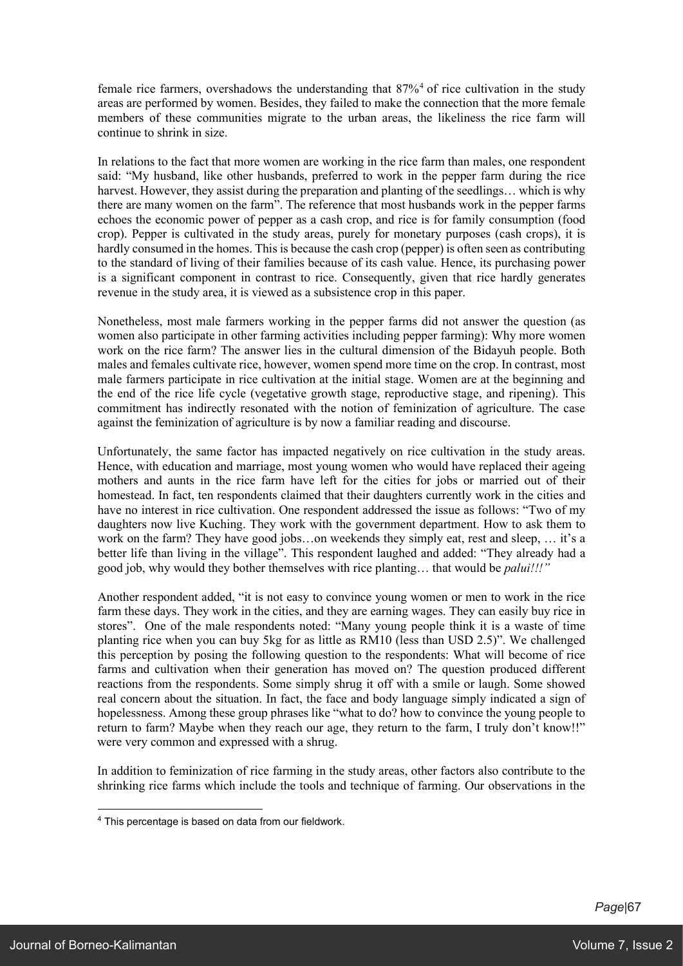female rice farmers, overshadows the understanding that 87%<sup>4</sup> of rice cultivation in the study areas are performed by women. Besides, they failed to make the connection that the more female members of these communities migrate to the urban areas, the likeliness the rice farm will continue to shrink in size.

In relations to the fact that more women are working in the rice farm than males, one respondent said: "My husband, like other husbands, preferred to work in the pepper farm during the rice harvest. However, they assist during the preparation and planting of the seedlings… which is why there are many women on the farm". The reference that most husbands work in the pepper farms echoes the economic power of pepper as a cash crop, and rice is for family consumption (food crop). Pepper is cultivated in the study areas, purely for monetary purposes (cash crops), it is hardly consumed in the homes. This is because the cash crop (pepper) is often seen as contributing to the standard of living of their families because of its cash value. Hence, its purchasing power is a significant component in contrast to rice. Consequently, given that rice hardly generates revenue in the study area, it is viewed as a subsistence crop in this paper.

Nonetheless, most male farmers working in the pepper farms did not answer the question (as women also participate in other farming activities including pepper farming): Why more women work on the rice farm? The answer lies in the cultural dimension of the Bidayuh people. Both males and females cultivate rice, however, women spend more time on the crop. In contrast, most male farmers participate in rice cultivation at the initial stage. Women are at the beginning and the end of the rice life cycle (vegetative growth stage, reproductive stage, and ripening). This commitment has indirectly resonated with the notion of feminization of agriculture. The case against the feminization of agriculture is by now a familiar reading and discourse.

Unfortunately, the same factor has impacted negatively on rice cultivation in the study areas. Hence, with education and marriage, most young women who would have replaced their ageing mothers and aunts in the rice farm have left for the cities for jobs or married out of their homestead. In fact, ten respondents claimed that their daughters currently work in the cities and have no interest in rice cultivation. One respondent addressed the issue as follows: "Two of my daughters now live Kuching. They work with the government department. How to ask them to work on the farm? They have good jobs…on weekends they simply eat, rest and sleep, … it's a better life than living in the village". This respondent laughed and added: "They already had a good job, why would they bother themselves with rice planting… that would be *palui!!!"*

Another respondent added, "it is not easy to convince young women or men to work in the rice farm these days. They work in the cities, and they are earning wages. They can easily buy rice in stores". One of the male respondents noted: "Many young people think it is a waste of time planting rice when you can buy 5kg for as little as RM10 (less than USD 2.5)". We challenged this perception by posing the following question to the respondents: What will become of rice farms and cultivation when their generation has moved on? The question produced different reactions from the respondents. Some simply shrug it off with a smile or laugh. Some showed real concern about the situation. In fact, the face and body language simply indicated a sign of hopelessness. Among these group phrases like "what to do? how to convince the young people to return to farm? Maybe when they reach our age, they return to the farm, I truly don't know!!" were very common and expressed with a shrug.

In addition to feminization of rice farming in the study areas, other factors also contribute to the shrinking rice farms which include the tools and technique of farming. Our observations in the

<sup>4</sup> This percentage is based on data from our fieldwork.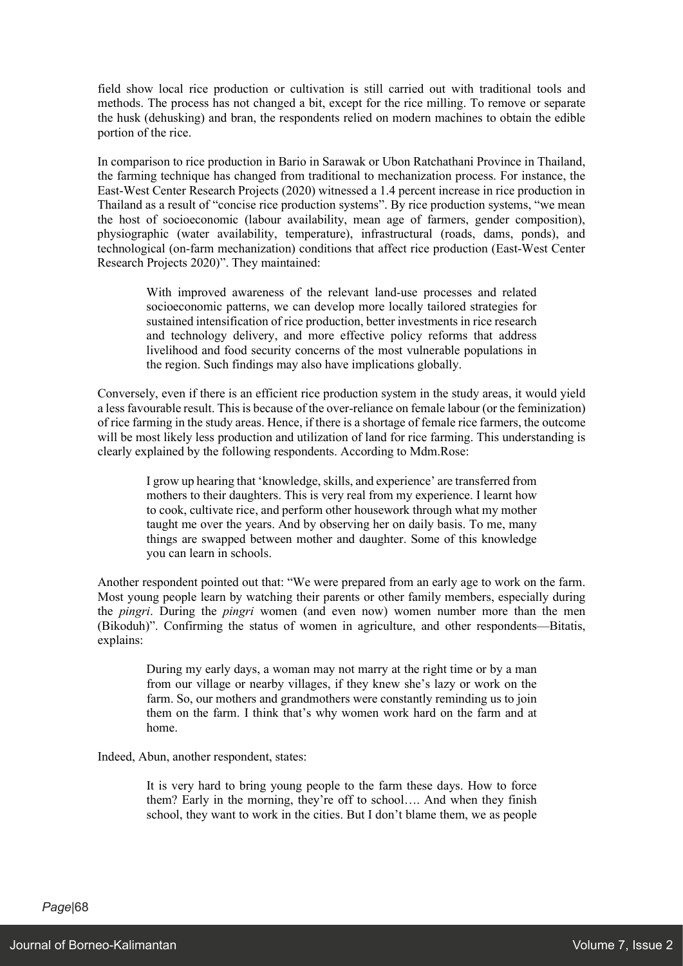field show local rice production or cultivation is still carried out with traditional tools and methods. The process has not changed a bit, except for the rice milling. To remove or separate the husk (dehusking) and bran, the respondents relied on modern machines to obtain the edible portion of the rice.

In comparison to rice production in Bario in Sarawak or Ubon Ratchathani Province in Thailand, the farming technique has changed from traditional to mechanization process. For instance, the East-West Center Research Projects (2020) witnessed a 1.4 percent increase in rice production in Thailand as a result of "concise rice production systems". By rice production systems, "we mean the host of socioeconomic (labour availability, mean age of farmers, gender composition), physiographic (water availability, temperature), infrastructural (roads, dams, ponds), and technological (on-farm mechanization) conditions that affect rice production (East-West Center Research Projects 2020)". They maintained:

With improved awareness of the relevant land-use processes and related socioeconomic patterns, we can develop more locally tailored strategies for sustained intensification of rice production, better investments in rice research and technology delivery, and more effective policy reforms that address livelihood and food security concerns of the most vulnerable populations in the region. Such findings may also have implications globally.

Conversely, even if there is an efficient rice production system in the study areas, it would yield a less favourable result. This is because of the over-reliance on female labour (or the feminization) of rice farming in the study areas. Hence, if there is a shortage of female rice farmers, the outcome will be most likely less production and utilization of land for rice farming. This understanding is clearly explained by the following respondents. According to Mdm.Rose:

I grow up hearing that 'knowledge, skills, and experience' are transferred from mothers to their daughters. This is very real from my experience. I learnt how to cook, cultivate rice, and perform other housework through what my mother taught me over the years. And by observing her on daily basis. To me, many things are swapped between mother and daughter. Some of this knowledge you can learn in schools.

Another respondent pointed out that: "We were prepared from an early age to work on the farm. Most young people learn by watching their parents or other family members, especially during the *pingri*. During the *pingri* women (and even now) women number more than the men (Bikoduh)". Confirming the status of women in agriculture, and other respondents—Bitatis, explains:

During my early days, a woman may not marry at the right time or by a man from our village or nearby villages, if they knew she's lazy or work on the farm. So, our mothers and grandmothers were constantly reminding us to join them on the farm. I think that's why women work hard on the farm and at home.

Indeed, Abun, another respondent, states:

It is very hard to bring young people to the farm these days. How to force them? Early in the morning, they're off to school…. And when they finish school, they want to work in the cities. But I don't blame them, we as people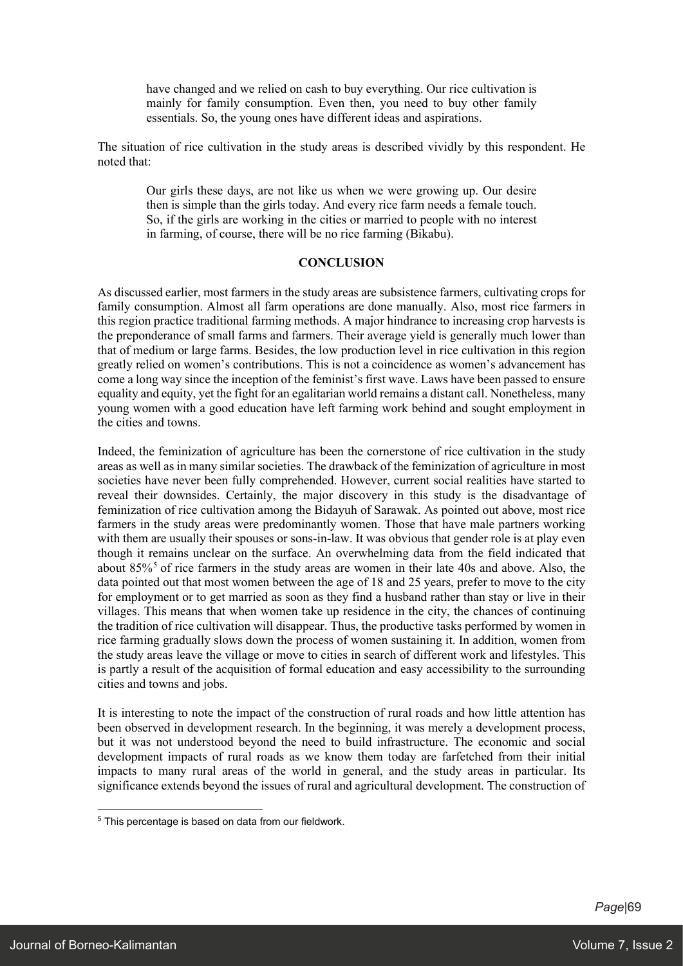have changed and we relied on cash to buy everything. Our rice cultivation is mainly for family consumption. Even then, you need to buy other family essentials. So, the young ones have different ideas and aspirations.

The situation of rice cultivation in the study areas is described vividly by this respondent. He noted that:

Our girls these days, are not like us when we were growing up. Our desire then is simple than the girls today. And every rice farm needs a female touch. So, if the girls are working in the cities or married to people with no interest in farming, of course, there will be no rice farming (Bikabu).

## **CONCLUSION**

As discussed earlier, most farmers in the study areas are subsistence farmers, cultivating crops for family consumption. Almost all farm operations are done manually. Also, most rice farmers in this region practice traditional farming methods. A major hindrance to increasing crop harvests is the preponderance of small farms and farmers. Their average yield is generally much lower than that of medium or large farms. Besides, the low production level in rice cultivation in this region greatly relied on women's contributions. This is not a coincidence as women's advancement has come a long way since the inception of the feminist's first wave. Laws have been passed to ensure equality and equity, yet the fight for an egalitarian world remains a distant call. Nonetheless, many young women with a good education have left farming work behind and sought employment in the cities and towns.

Indeed, the feminization of agriculture has been the cornerstone of rice cultivation in the study areas as well as in many similar societies. The drawback of the feminization of agriculture in most societies have never been fully comprehended. However, current social realities have started to reveal their downsides. Certainly, the major discovery in this study is the disadvantage of feminization of rice cultivation among the Bidayuh of Sarawak. As pointed out above, most rice farmers in the study areas were predominantly women. Those that have male partners working with them are usually their spouses or sons-in-law. It was obvious that gender role is at play even though it remains unclear on the surface. An overwhelming data from the field indicated that about  $85\%$ <sup>5</sup> of rice farmers in the study areas are women in their late 40s and above. Also, the data pointed out that most women between the age of 18 and 25 years, prefer to move to the city for employment or to get married as soon as they find a husband rather than stay or live in their villages. This means that when women take up residence in the city, the chances of continuing the tradition of rice cultivation will disappear. Thus, the productive tasks performed by women in rice farming gradually slows down the process of women sustaining it. In addition, women from the study areas leave the village or move to cities in search of different work and lifestyles. This is partly a result of the acquisition of formal education and easy accessibility to the surrounding cities and towns and jobs.

It is interesting to note the impact of the construction of rural roads and how little attention has been observed in development research. In the beginning, it was merely a development process, but it was not understood beyond the need to build infrastructure. The economic and social development impacts of rural roads as we know them today are farfetched from their initial impacts to many rural areas of the world in general, and the study areas in particular. Its significance extends beyond the issues of rural and agricultural development. The construction of

<sup>&</sup>lt;sup>5</sup> This percentage is based on data from our fieldwork.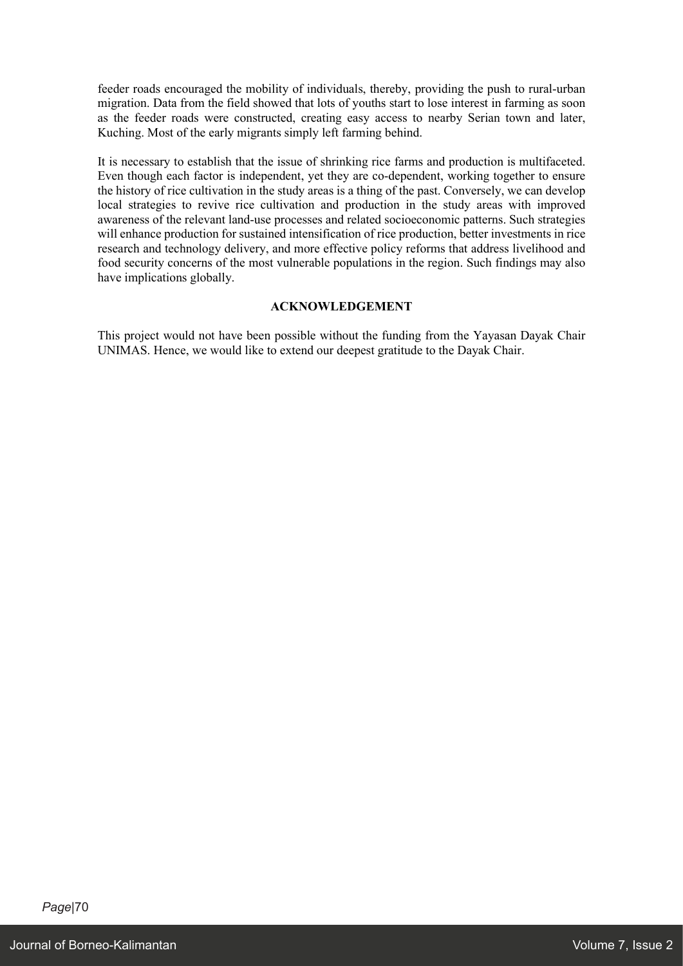feeder roads encouraged the mobility of individuals, thereby, providing the push to rural-urban migration. Data from the field showed that lots of youths start to lose interest in farming as soon as the feeder roads were constructed, creating easy access to nearby Serian town and later, Kuching. Most of the early migrants simply left farming behind.

It is necessary to establish that the issue of shrinking rice farms and production is multifaceted. Even though each factor is independent, yet they are co-dependent, working together to ensure the history of rice cultivation in the study areas is a thing of the past. Conversely, we can develop local strategies to revive rice cultivation and production in the study areas with improved awareness of the relevant land-use processes and related socioeconomic patterns. Such strategies will enhance production for sustained intensification of rice production, better investments in rice research and technology delivery, and more effective policy reforms that address livelihood and food security concerns of the most vulnerable populations in the region. Such findings may also have implications globally.

# **ACKNOWLEDGEMENT**

This project would not have been possible without the funding from the Yayasan Dayak Chair UNIMAS. Hence, we would like to extend our deepest gratitude to the Dayak Chair.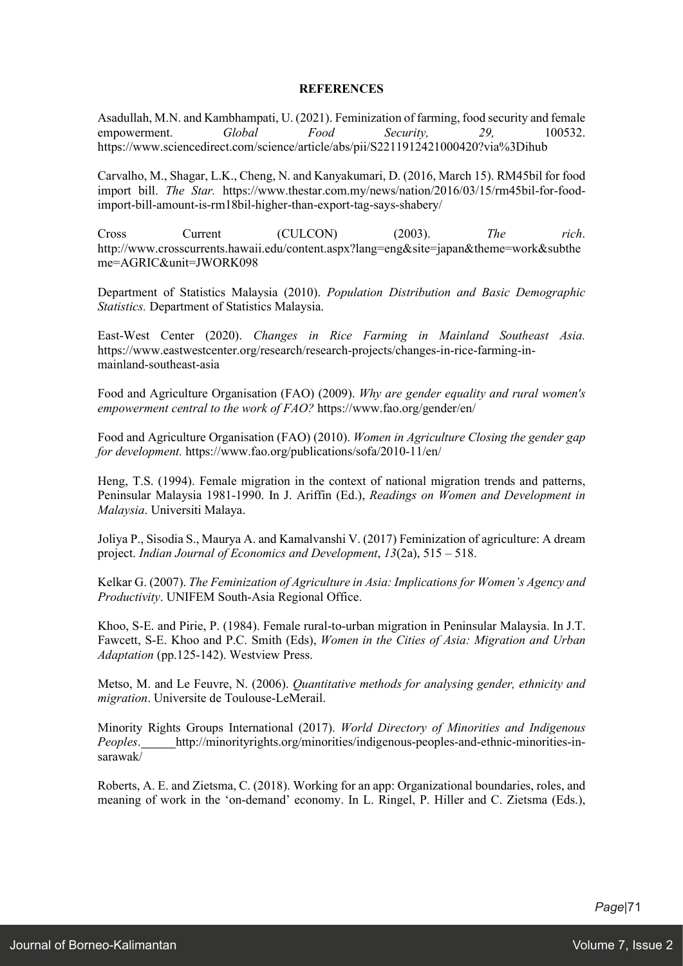### **REFERENCES**

Asadullah, M.N. and Kambhampati, U. (2021). Feminization of farming, food security and female empowerment. *Global Food Security, 29,* 100532. https://www.sciencedirect.com/science/article/abs/pii/S2211912421000420?via%3Dihub

Carvalho, M., Shagar, L.K., Cheng, N. and Kanyakumari, D. (2016, March 15). RM45bil for food import bill. *The Star.* https://www.thestar.com.my/news/nation/2016/03/15/rm45bil-for-foodimport-bill-amount-is-rm18bil-higher-than-export-tag-says-shabery/

Cross Current (CULCON) (2003). *The rich*. http://www.crosscurrents.hawaii.edu/content.aspx?lang=eng&site=japan&theme=work&subthe me=AGRIC&unit=JWORK098

Department of Statistics Malaysia (2010). *Population Distribution and Basic Demographic Statistics.* Department of Statistics Malaysia.

East-West Center (2020). *Changes in Rice Farming in Mainland Southeast Asia.* https://www.eastwestcenter.org/research/research-projects/changes-in-rice-farming-inmainland-southeast-asia

Food and Agriculture Organisation (FAO) (2009). *Why are gender equality and rural women's empowerment central to the work of FAO?* https://www.fao.org/gender/en/

Food and Agriculture Organisation (FAO) (2010). *Women in Agriculture Closing the gender gap for development.* https://www.fao.org/publications/sofa/2010-11/en/

Heng, T.S. (1994). Female migration in the context of national migration trends and patterns, Peninsular Malaysia 1981-1990. In J. Ariffin (Ed.), *Readings on Women and Development in Malaysia*. Universiti Malaya.

Joliya P., Sisodia S., Maurya A. and Kamalvanshi V. (2017) Feminization of agriculture: A dream project. *Indian Journal of Economics and Development*, *13*(2a), 515 – 518.

Kelkar G. (2007). *The Feminization of Agriculture in Asia: Implications for Women's Agency and Productivity*. UNIFEM South-Asia Regional Office.

Khoo, S-E. and Pirie, P. (1984). Female rural-to-urban migration in Peninsular Malaysia. In J.T. Fawcett, S-E. Khoo and P.C. Smith (Eds), *Women in the Cities of Asia: Migration and Urban Adaptation* (pp.125-142). Westview Press.

Metso, M. and Le Feuvre, N. (2006). *Quantitative methods for analysing gender, ethnicity and migration*. Universite de Toulouse-LeMerail.

Minority Rights Groups International (2017). *World Directory of Minorities and Indigenous Peoples*. http://minorityrights.org/minorities/indigenous-peoples-and-ethnic-minorities-insarawak/

Roberts, A. E. and Zietsma, C. (2018). Working for an app: Organizational boundaries, roles, and meaning of work in the 'on-demand' economy. In L. Ringel, P. Hiller and C. Zietsma (Eds.),